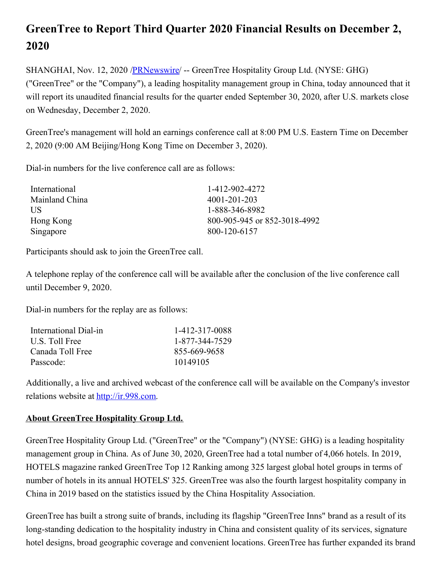## **GreenTree to Report Third Quarter 2020 Financial Results on December 2, 2020**

SHANGHAI, Nov. 12, 2020 /**PRNewswire/** -- GreenTree Hospitality Group Ltd. (NYSE: GHG) ("GreenTree" or the "Company"), a leading hospitality management group in China, today announced that it will report its unaudited financial results for the quarter ended September 30, 2020, after U.S. markets close on Wednesday, December 2, 2020.

GreenTree's management will hold an earnings conference call at 8:00 PM U.S. Eastern Time on December 2, 2020 (9:00 AM Beijing/Hong Kong Time on December 3, 2020).

Dial-in numbers for the live conference call are as follows:

| International  | 1-412-902-4272               |
|----------------|------------------------------|
| Mainland China | 4001-201-203                 |
| <b>US</b>      | 1-888-346-8982               |
| Hong Kong      | 800-905-945 or 852-3018-4992 |
| Singapore      | 800-120-6157                 |

Participants should ask to join the GreenTree call.

A telephone replay of the conference call will be available after the conclusion of the live conference call until December 9, 2020.

Dial-in numbers for the replay are as follows:

| International Dial-in | 1-412-317-0088 |
|-----------------------|----------------|
| U.S. Toll Free        | 1-877-344-7529 |
| Canada Toll Free      | 855-669-9658   |
| Passcode:             | 10149105       |
|                       |                |

Additionally, a live and archived webcast of the conference call will be available on the Company's investor relations website at [http://ir.998.com](http://ir.998.com/).

## **About GreenTree Hospitality Group Ltd.**

GreenTree Hospitality Group Ltd. ("GreenTree" or the "Company") (NYSE: GHG) is a leading hospitality management group in China. As of June 30, 2020, GreenTree had a total number of 4,066 hotels. In 2019, HOTELS magazine ranked GreenTree Top 12 Ranking among 325 largest global hotel groups in terms of number of hotels in its annual HOTELS' 325. GreenTree was also the fourth largest hospitality company in China in 2019 based on the statistics issued by the China Hospitality Association.

GreenTree has built a strong suite of brands, including its flagship "GreenTree Inns" brand as a result of its long-standing dedication to the hospitality industry in China and consistent quality of its services, signature hotel designs, broad geographic coverage and convenient locations. GreenTree has further expanded its brand